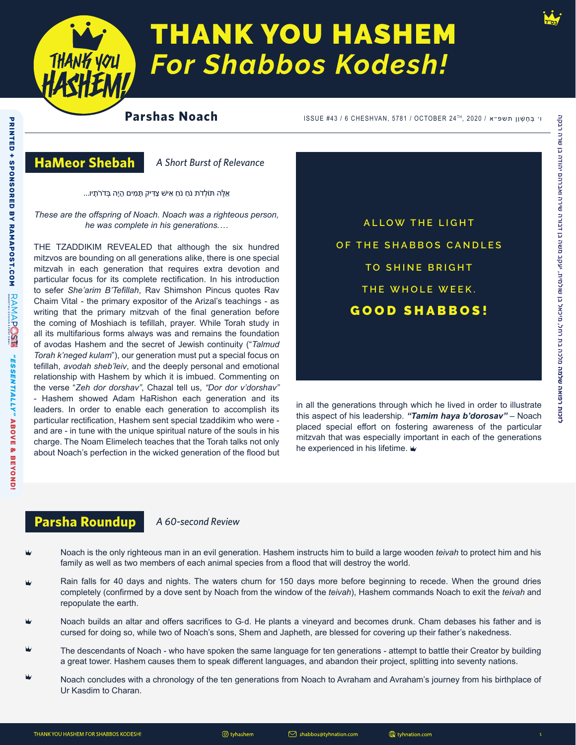

# **THANK YOU HASHEM For Shabbos Kodesh!**

# **Parshas Noach**

ו׳ בְּחֵשָׁן תשפ״א / 2020 ,TH 2020 ,TH 2020 וּ 1SSUE #43 / 6 CHESHVAN, 5781 / OCTOBER 24 וּ

# **HaMeor Shebah**

**PRINTED + SPONSORED BY RAMAPOST.COM**

PRINTED + SPONSORED BY RAMAPOST.COM

*"ESSENTIALLY"*

**RAMAPOSE** 

**ABOVE & BEYOND!**

"ESSENTIALLY" ABOVE & BEYOND!

*A Short Burst of Relevance*

אֵ ּלֶה ּתֹולְ דֹת נֹחַ נֹחַ אִ יׁש צַּדִ יק ּתָ מִ ים הָ יָה ּבְ דֹרֹתָ יו...

*These are the offspring of Noach. Noach was a righteous person, he was complete in his generations.…*

THE TZADDIKIM REVEALED that although the six hundred mitzvos are bounding on all generations alike, there is one special mitzvah in each generation that requires extra devotion and particular focus for its complete rectification. In his introduction to sefer *She'arim B'Tefillah*, Rav Shimshon Pincus quotes Rav Chaim Vital - the primary expositor of the Arizal's teachings - as writing that the primary mitzvah of the final generation before the coming of Moshiach is tefillah, prayer. While Torah study in all its multifarious forms always was and remains the foundation of avodas Hashem and the secret of Jewish continuity ("*Talmud Torah k'neged kulam*"), our generation must put a special focus on tefillah, *avodah sheb'leiv*, and the deeply personal and emotional relationship with Hashem by which it is imbued. Commenting on the verse "*Zeh dor dorshav"*, Chazal tell us, *"Dor dor v'dorshav"* - Hashem showed Adam HaRishon each generation and its leaders. In order to enable each generation to accomplish its particular rectification, Hashem sent special tzaddikim who were and are - in tune with the unique spiritual nature of the souls in his charge. The Noam Elimelech teaches that the Torah talks not only about Noach's perfection in the wicked generation of the flood but

**ALLOW THE LIGHT OF THE SHABBOS CANDLES TO SHINE BRIGHT THE WHOLE WEEK.** GOOD SHABBOS!

in all the generations through which he lived in order to illustrate this aspect of his leadership. *"Tamim haya b'dorosav"* – Noach placed special effort on fostering awareness of the particular mitzvah that was especially important in each of the generations he experienced in his lifetime.  $\dot{\mathbf{w}}$ 

# **Parsha Roundup** *A 60-second Review*

- Noach is the only righteous man in an evil generation. Hashem instructs him to build a large wooden *teivah* to protect him and his family as well as two members of each animal species from a flood that will destroy the world.
- Rain falls for 40 days and nights. The waters churn for 150 days more before beginning to recede. When the ground dries completely (confirmed by a dove sent by Noach from the window of the *teivah*), Hashem commands Noach to exit the *teivah* and repopulate the earth.
- Noach builds an altar and offers sacrifices to G‑d. He plants a vineyard and becomes drunk. Cham debases his father and is cursed for doing so, while two of Noach's sons, Shem and Japheth, are blessed for covering up their father's nakedness.
- The descendants of Noach who have spoken the same language for ten generations attempt to battle their Creator by building a great tower. Hashem causes them to speak different languages, and abandon their project, splitting into seventy nations.
- Noach concludes with a chronology of the ten generations from Noach to Avraham and Avraham's journey from his birthplace of Ur Kasdim to Charan.

 $\oslash$  shabbos@tyhnation.com

tyhnation.com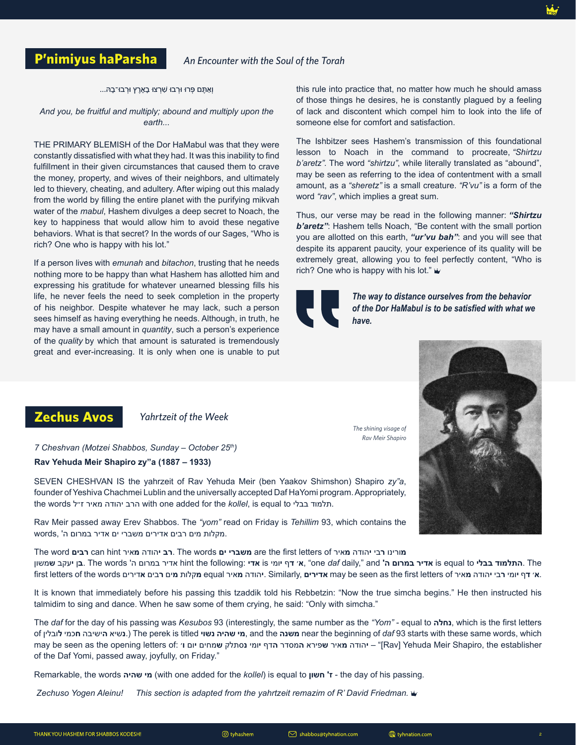#### ּוְאַתֶּם פְּרוּ וּרְבוּ שִׁרְצוּ בָאָרֶץ וּרְבוּ־בָהּ...

#### *And you, be fruitful and multiply; abound and multiply upon the earth...*

THE PRIMARY BLEMISH of the Dor HaMabul was that they were constantly dissatisfied with what they had. It was this inability to find fulfillment in their given circumstances that caused them to crave the money, property, and wives of their neighbors, and ultimately led to thievery, cheating, and adultery. After wiping out this malady from the world by filling the entire planet with the purifying mikvah water of the *mabul*, Hashem divulges a deep secret to Noach, the key to happiness that would allow him to avoid these negative behaviors. What is that secret? In the words of our Sages, "Who is rich? One who is happy with his lot."

If a person lives with *emunah* and *bitachon*, trusting that he needs nothing more to be happy than what Hashem has allotted him and expressing his gratitude for whatever unearned blessing fills his life, he never feels the need to seek completion in the property of his neighbor. Despite whatever he may lack, such a person sees himself as having everything he needs. Although, in truth, he may have a small amount in *quantity*, such a person's experience of the *quality* by which that amount is saturated is tremendously great and ever-increasing. It is only when one is unable to put this rule into practice that, no matter how much he should amass of those things he desires, he is constantly plagued by a feeling of lack and discontent which compel him to look into the life of someone else for comfort and satisfaction.

The Ishbitzer sees Hashem's transmission of this foundational lesson to Noach in the command to procreate, *"Shirtzu b'aretz".* The word *"shirtzu"*, while literally translated as "abound", may be seen as referring to the idea of contentment with a small amount, as a *"sheretz"* is a small creature. *"R'vu"* is a form of the word *"rav"*, which implies a great sum.

Thus, our verse may be read in the following manner: *"Shirtzu b'aretz"*: Hashem tells Noach, "Be content with the small portion you are allotted on this earth, *"ur'vu bah"*: and you will see that despite its apparent paucity, your experience of its quality will be extremely great, allowing you to feel perfectly content, "Who is rich? One who is happy with his lot."

> *The shining visage of Rav Meir Shapiro*



*The way to distance ourselves from the behavior of the Dor HaMabul is to be satisfied with what we have.* 



# **Zechus Avos** *Yahrtzeit of the Week*

*7 Cheshvan (Motzei Shabbos, Sunday – October 25th)*

#### **Rav Yehuda Meir Shapiro zy"a (1887 – 1933)**

SEVEN CHESHVAN IS the yahrzeit of Rav Yehuda Meir (ben Yaakov Shimshon) Shapiro *zy"a*, founder of Yeshiva Chachmei Lublin and the universally accepted Daf HaYomi program. Appropriately, the words הרב יהודה מאיר ז״ל with one added for the *kollel*, is equal to תלמוד.

Rav Meir passed away Erev Shabbos. The *"yom"* read on Friday is *Tehillim* 93, which contains the .מקלות מים רבים אדירים משברי ים אדיר במרום ה' ,words

The word **רבים** can hint **מ**איר **י**הודה **רב**. The words **ים משברי** are the first letters of **מ**איר **י**הודה **ר**בי **מ**ורינו The .**התלמוד בבלי** to equal is **אדיר במרום ה'** and" ,daily *daf* one ",**א**׳ **ד**ף **י**ומי is **אדי** :following the hint אדיר במרום ה' words The .**ב**ן **י**עקב **ש**משון first letters of the words אדירים equal אדירים Similarly, יהודה מאיר may be seen as the first letters of the words. אי דף יומי רבי יהודה מאיר equal אדירים,

It is known that immediately before his passing this tzaddik told his Rebbetzin: "Now the true simcha begins." He then instructed his talmidim to sing and dance. When he saw some of them crying, he said: "Only with simcha."

The *daf* for the day of his passing was *Kesubos* 93 (interestingly, the same number as the *"Yom" -* equal to **נחלה**, which is the first letters of **ל**ובלין **ח**כמי **ה**ישיבה **נ**שיא. (The perek is titled **נשוי שהיה מי**, and the **משנה** near the beginning of *daf* 93 starts with these same words, which may be seen as the opening letters of: **ו**׳ **י**ום **ש**מחים **נ**סתלק **י**ומי **ה**דף **ה**מסדר **ש**פירא **מ**איר **י**הודה]" – Rav] Yehuda Meir Shapiro, the establisher of the Daf Yomi, passed away, joyfully, on Friday."

Remarkable, the words **שהיה מי**) with one added for the *kollel*) is equal to **חשון' ז** - the day of his passing.

*Zechuso Yogen Aleinu! This section is adapted from the yahrtzeit remazim of R' David Friedman.*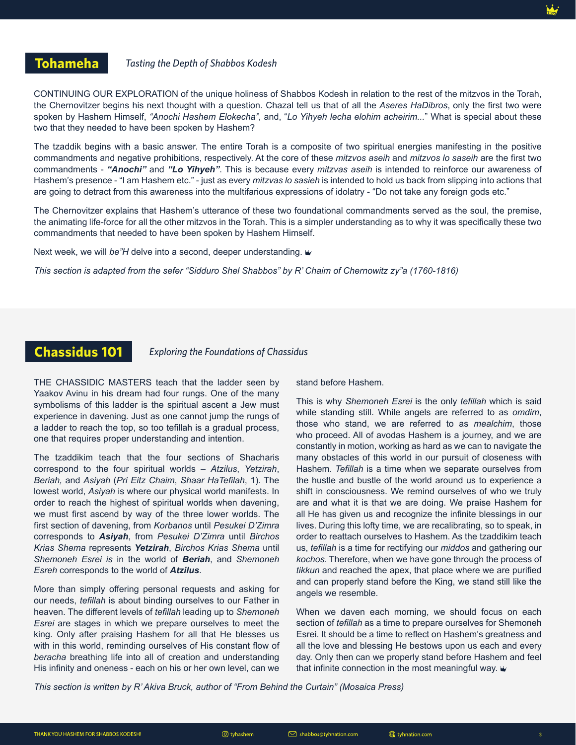#### *Tasting the Depth of Shabbos Kodesh*

CONTINUING OUR EXPLORATION of the unique holiness of Shabbos Kodesh in relation to the rest of the mitzvos in the Torah, the Chernovitzer begins his next thought with a question. Chazal tell us that of all the *Aseres HaDibros*, only the first two were spoken by Hashem Himself, *"Anochi Hashem Elokecha"*, and, "*Lo Yihyeh lecha elohim acheirim...*" What is special about these two that they needed to have been spoken by Hashem?

The tzaddik begins with a basic answer. The entire Torah is a composite of two spiritual energies manifesting in the positive commandments and negative prohibitions, respectively. At the core of these *mitzvos aseih* and *mitzvos lo saseih* are the first two commandments - *"Anochi"* and *"Lo Yihyeh"*. This is because every *mitzvas aseih* is intended to reinforce our awareness of Hashem's presence - "I am Hashem etc." - just as every *mitzvas lo sasieh* is intended to hold us back from slipping into actions that are going to detract from this awareness into the multifarious expressions of idolatry - "Do not take any foreign gods etc."

The Chernovitzer explains that Hashem's utterance of these two foundational commandments served as the soul, the premise, the animating life-force for all the other mitzvos in the Torah. This is a simpler understanding as to why it was specifically these two commandments that needed to have been spoken by Hashem Himself.

Next week, we will *be"H* delve into a second, deeper understanding.

*This section is adapted from the sefer "Sidduro Shel Shabbos" by R' Chaim of Chernowitz zy"a (1760-1816)*

# **Chassidus 101**

*Exploring the Foundations of Chassidus*

THE CHASSIDIC MASTERS teach that the ladder seen by Yaakov Avinu in his dream had four rungs. One of the many symbolisms of this ladder is the spiritual ascent a Jew must experience in davening. Just as one cannot jump the rungs of a ladder to reach the top, so too tefillah is a gradual process, one that requires proper understanding and intention.

The tzaddikim teach that the four sections of Shacharis correspond to the four spiritual worlds – *Atzilus*, *Yetzirah*, *Beriah,* and *Asiyah* (*Pri Eitz Chaim*, *Shaar HaTefilah*, 1). The lowest world, *Asiyah* is where our physical world manifests. In order to reach the highest of spiritual worlds when davening, we must first ascend by way of the three lower worlds. The first section of davening, from *Korbanos* until *Pesukei D'Zimra* corresponds to *Asiyah*, from *Pesukei D'Zimra* until *Birchos Krias Shema* represents *Yetzirah*, *Birchos Krias Shema* until *Shemoneh Esrei is* in the world of *Beriah*, and *Shemoneh Esreh* corresponds to the world of *Atzilus*.

More than simply offering personal requests and asking for our needs, *tefillah* is about binding ourselves to our Father in heaven. The different levels of *tefillah* leading up to *Shemoneh Esrei* are stages in which we prepare ourselves to meet the king. Only after praising Hashem for all that He blesses us with in this world, reminding ourselves of His constant flow of *beracha* breathing life into all of creation and understanding His infinity and oneness - each on his or her own level, can we

stand before Hashem.

This is why *Shemoneh Esrei* is the only *tefillah* which is said while standing still. While angels are referred to as *omdim*, those who stand, we are referred to as *mealchim*, those who proceed. All of avodas Hashem is a journey, and we are constantly in motion, working as hard as we can to navigate the many obstacles of this world in our pursuit of closeness with Hashem. *Tefillah* is a time when we separate ourselves from the hustle and bustle of the world around us to experience a shift in consciousness. We remind ourselves of who we truly are and what it is that we are doing. We praise Hashem for all He has given us and recognize the infinite blessings in our lives. During this lofty time, we are recalibrating, so to speak, in order to reattach ourselves to Hashem. As the tzaddikim teach us, *tefillah* is a time for rectifying our *middos* and gathering our *kochos*. Therefore, when we have gone through the process of *tikkun* and reached the apex, that place where we are purified and can properly stand before the King, we stand still like the angels we resemble.

When we daven each morning, we should focus on each section of *tefillah* as a time to prepare ourselves for Shemoneh Esrei. It should be a time to reflect on Hashem's greatness and all the love and blessing He bestows upon us each and every day. Only then can we properly stand before Hashem and feel that infinite connection in the most meaningful way.

*This section is written by R' Akiva Bruck, author of "From Behind the Curtain" (Mosaica Press)*